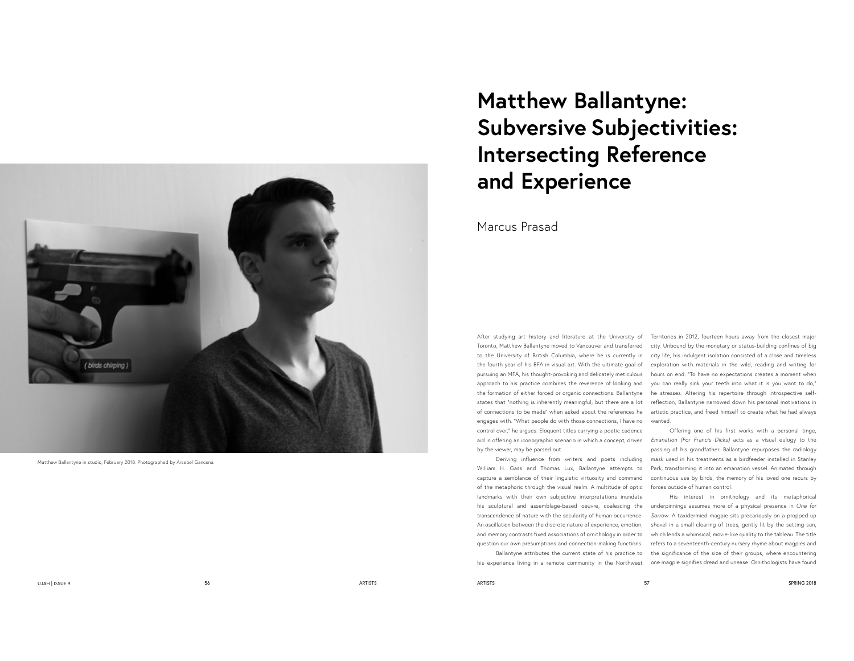

Matthew Ballantyne in studio, February 2018. Photographed by Arsebel Gancena.

## **Matthew Ballantyne: Subversive Subjectivities: Intersecting Reference and Experience**

Marcus Prasad

Toronto, Matthew Ballantyne moved to Vancouver and transferred city. Unbound by the monetary or status-building confines of big to the University of British Columbia, where he is currently in city life, his indulgent isolation consisted of a close and timeless the fourth year of his BFA in visual art. With the ultimate goal of exploration with materials in the wild, reading and writing for pursuing an MFA, his thought-provoking and delicately meticulous the formation of either forced or organic connections. Ballantyne he stresses. Altering his repertoire through introspective selfstates that "nothing is inherently meaningful, but there are a lot reflection, Ballantyne narrowed down his personal motivations in of connections to be made" when asked about the references he artistic practice, and freed himself to create what he had always engages with. "What people do with those connections, I have no wanted. control over," he argues. Eloquent titles carrying a poetic cadence aid in offering an iconographic scenario in which a concept, driven *Emanation (For Francis Dicks)* acts as a visual eulogy to the by the viewer, may be parsed out.

of the metaphoric through the visual realm. A multitude of optic forces outside of human control. landmarks with their own subjective interpretations inundate transcendence of nature with the secularity of human occurrence.

After studying art history and literature at the University of Territories in 2012, fourteen hours away from the closest major approach to his practice combines the reverence of looking and you can really sink your teeth into what it is you want to do," hours on end. "To have no expectations creates a moment when

Deriving influence from writers and poets including mask used in his treatments as a birdfeeder installed in Stanley William H. Gass and Thomas Lux, Ballantyne attempts to Park, transforming it into an emanation vessel. Animated through capture a semblance of their linguistic virtuosity and command continuous use by birds, the memory of his loved one recurs by Offering one of his first works with a personal tinge, passing of his grandfather. Ballantyne repurposes the radiology

his sculptural and assemblage-based oeuvre, coalescing the underpinnings assumes more of a physical presence in *One for*  An oscillation between the discrete nature of experience, emotion, shovel in a small clearing of trees, gently lit by the setting sun, and memory contrasts fixed associations of ornithology in order to which lends a whimsical, movie-like quality to the tableau. The title question our own presumptions and connection-making functions. refers to a seventeenth-century nursery rhyme about magpies and Ballantyne attributes the current state of his practice to the significance of the size of their groups, where encountering his experience living in a remote community in the Northwest one magpie signifies dread and unease. Ornithologists have found His interest in ornithology and its metaphorical *Sorrow*. A taxidermied magpie sits precariously on a propped-up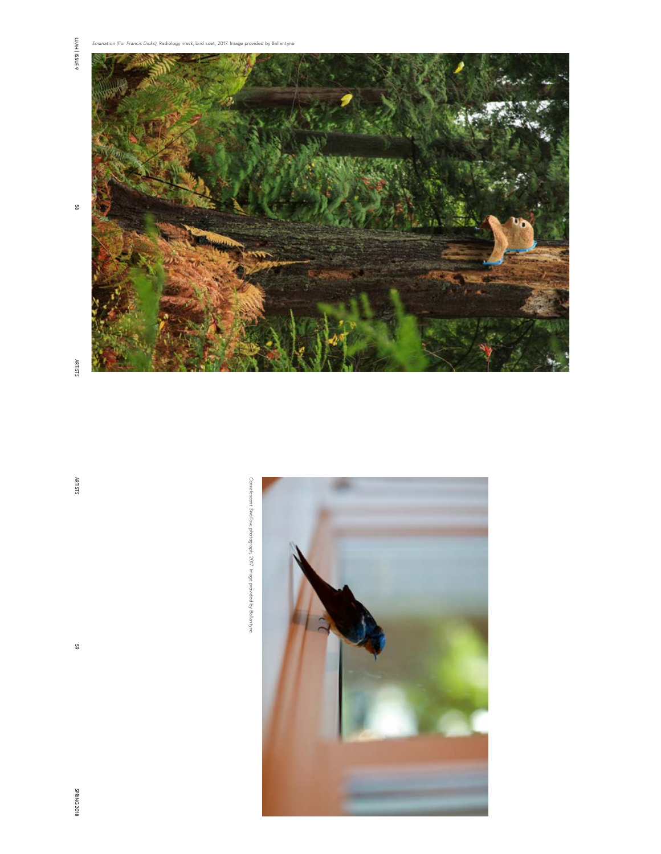$\overline{8}$ 



ARTISTS

ARTISTS

SPRING 2018 ARTISTS

SPRING 2018

 $\frac{6}{3}$ 



*Convalescent Swallow*, photograph, 2017. Image provided by Ballantyne.

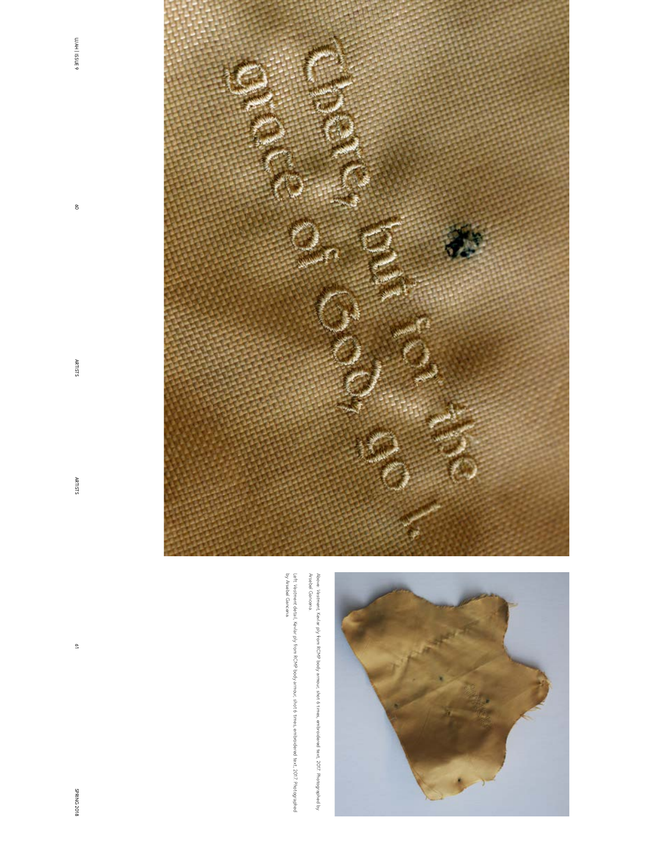



*Vestment,* Kevlar ply from RCMP body armour, shot 6 times, embroidered text, 2017. Photographed by Arsebel Gancena.

Left: Vestment detail , Kevlar ply from RCVP body amraur, shot 6 times, entordered text, 2017. Photographed<br>by Areabel Gancena. *Vestment* detail, Kevlar ply from RCMP body armour, shot 6 times, embroidered text, 2017. Photographed by Arsebel Gancena.

ARTISTS

**PUAH | ISSUE 9** 

 $\infty$ 

SPRING 2018 ARTISTS

SPRING 2018

 $\overline{\mathcal{E}}$